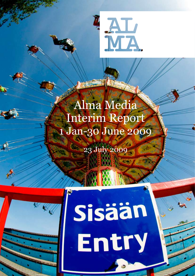

# Alma Media Interim Report 1 Jan-30 June 2009

23 July 2009

XXIXE



# Sisään Entry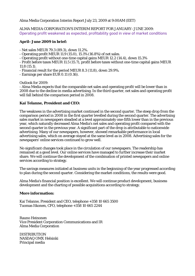Alma Media Corporation Interim Report July 23, 2009 at 9:00AM (EET)

ALMA MEDIA CORPORATION'S INTERIM REPORT FOR JANUARY–JUNE 2009: Operating profit weakened as expected, profitability good in view of market conditions

#### **April–June 2009 in brief:**

- Net sales MEUR 79.3 (89.3), down 11.2%.

- Operating profit MEUR 11.9 (15.0), 15.1% (16.8%) of net sales.

- Operating profit without one-time capital gains MEUR 12.2 (14.4), down 15.3%

- Profit before taxes MEUR 11.5 (15.7), profit before taxes without one-time capital gains MEUR 11.8 (15.1).

- Financial result for the period MEUR 8.3 (11.8), down 29.9%.

- Earnings per share EUR 0.11 (0.16).

Outlook for 2009:

- Alma Media expects that the comparable net sales and operating profit will be lower than in 2008 due to the decline in media advertising. In the third quarter, net sales and operating profit will fall behind the comparison period in 2008.

#### **Kai Telanne, President and CEO:**

The weakness in the advertising market continued in the second quarter. The steep drop from the comparison period in 2008 in the first quarter levelled during the second quarter. The advertising sales market in newspapers steadied at a level approximately one-fifth lower than in the previous year, which naturally decreased Alma Media's net sales and operating profit compared with the second quarter in the previous year. A significant part of the drop is attributable to nationwide advertising. Many of our newspapers, however, showed remarkable performance in local advertising sales, which on average stayed at the same level as in 2008. Advertising sales for the newspapers' online services continued to grow well.

No significant changes took place in the circulation of our newspapers. The readership has remained at a good level. Our online services have managed to further increase their market share. We will continue the development of the combination of printed newspapers and online services according to strategy.

The savings measures initiated at business units in the beginning of the year progressed according to plan during the second quarter. Considering the market conditions, the results were good.

Alma Media's financial position is excellent. We will continue product development, business development and the charting of possible acquisitions according to strategy.

#### **More information:**

Kai Telanne, President and CEO, telephone +358 10 665 3500 Tuomas Itkonen, CFO, telephone +358 10 665 2244

Rauno Heinonen Vice President Corporation Communications and IR Alma Media Corporation

**DISTRIBUTION** NASDAQ OMX Helsinki Principal media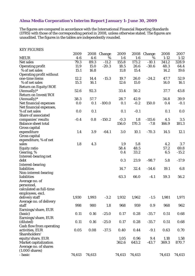#### **Alma Media Corporation's Interim Report January 1–June 30, 2009**

The figures are compared in accordance with the International Financial Reporting Standards (IFRS) with those of the corresponding period in 2008, unless otherwise stated. The figures are unaudited. The figures in the tables are independently rounded.

#### KEY FIGURES

|                                 | 2009   | 2008   | Change   | 2009   | 2008   | Change   | 2008     | 2007     |
|---------------------------------|--------|--------|----------|--------|--------|----------|----------|----------|
| <b>MEUR</b>                     | $4-6$  | $4-6$  | %        | $1-6$  | $1-6$  | %        | $1 - 12$ | $1 - 12$ |
| Net sales                       | 79.3   | 89.3   | $-11.2$  | 155.8  | 173.2  | $-10.1$  | 341.2    | 328.9    |
| <b>Operating profit</b>         | 11.9   | 15.0   | $-20.3$  | 18.5   | 26.6   | $-30.6$  | 48.3     | 64.4     |
| % of net sales                  | 15.1   | 16.8   |          | 11.8   | 15.4   |          | 14.2     | 19.6     |
| <b>Operating profit without</b> |        |        |          |        |        |          |          |          |
| one-time items                  | 12.2   | 14.4   | $-15.3$  | 19.7   | 26.0   | $-24.2$  | 47.7     | 52.9     |
| % of net sales                  | 15.3   | 16.1   |          | 12.6   | 15.0   |          | 14.0     | 16.1     |
| <b>Return on Equity/ROE</b>     |        |        |          |        |        |          |          |          |
| (Annually)*                     | 52.6   | 92.3   |          | 33.4   | 50.2   |          | 37.7     | 43.8     |
| <b>Return on Invest/ROI</b>     |        |        |          |        |        |          |          |          |
| $(Annually)*$                   | 38.3   | 57.7   |          | 28.7   | 42.9   |          | 34.8     | 39.9     |
| Net financial expenses          | 0.0    | 0.1    | $-100.0$ | 0.1    | $-0.2$ | 150.0    | 0.4      | $-0.1$   |
| Net financial expenses,         |        |        |          |        |        |          |          |          |
| % of net sales                  | 0.0    | 0.1    |          | 0.1    | $-0.1$ |          | 0.1      | 0.0      |
| Share of associated             |        |        |          |        |        |          |          |          |
| companies' results              | $-0.4$ | 0.8    | $-150.2$ | $-0.3$ | 1.8    | $-115.6$ | 4.5      | 3.5      |
| <b>Balance sheet total</b>      |        |        |          | 156.0  | 170.3  | $-7.8$   | 166.9    | 181.3    |
| Gross capital                   |        |        |          |        |        |          |          |          |
| expenditure                     | 1.4    | 3.9    | $-64.1$  | 3.0    | 10.1   | $-70.3$  | 14.5     | 12.1     |
| Gross capital                   |        |        |          |        |        |          |          |          |
| expenditure, % of net           |        |        |          |        |        |          |          |          |
| sales                           | 1.8    | 4.3    |          | 1.9    | 5.8    |          | 4.2      | 3.7      |
| <b>Equity ratio</b>             |        |        |          | 58.4   | 48.5   |          | 57.2     | 69.8     |
| Gearing, %                      |        |        |          | 0.4    | 33.2   |          | 6.5      | $-15.2$  |
|                                 |        |        |          |        |        |          |          |          |
| Interest-bearing net<br>debt    |        |        |          | 0.3    | 23.9   | $-98.7$  | 5.8      | $-17.9$  |
|                                 |        |        |          |        |        |          |          |          |
| <b>Interest-bearing</b>         |        |        |          |        |        |          |          |          |
| liabilities                     |        |        |          | 14.7   | 32.4   | $-54.6$  | 19.1     | 6.8      |
| Non-interest-bearing            |        |        |          |        |        |          |          |          |
| liabilities                     |        |        |          | 63.3   | 66.0   | $-4.1$   | 59.3     | 56.2     |
| Average no. of                  |        |        |          |        |        |          |          |          |
| personnel,                      |        |        |          |        |        |          |          |          |
| calculated as full-time         |        |        |          |        |        |          |          |          |
| employees, excl.                |        |        |          |        |        |          |          |          |
| delivery staff                  | 1,930  | 1,993  | $-3.2$   | 1,932  | 1,962  | $-1.5$   | 1,981    | 1,971    |
| Average no. of delivery         |        |        |          |        |        |          |          |          |
| staff                           | 998    | 980    | 1.8      | 968    | 959    | 0.9      | 968      | 962      |
| Earnings/share, EUR             |        |        |          |        |        |          |          |          |
| (basic)                         | 0.11   | 0.16   | $-25.0$  | 0.17   | 0.28   | $-35.7$  | 0.51     | 0.68     |
| Earnings/share, EUR             |        |        |          |        |        |          |          |          |
| (diluted)                       | 0.11   | 0.16   | $-25.0$  | 0.17   | 0.28   | $-35.7$  | 0.51     | 0.68     |
| Cash flow from operating        |        |        |          |        |        |          |          |          |
| activities, EUR                 | 0.05   | 0.08   | $-37.5$  | 0.40   | 0.44   | $-9.1$   | 0.63     | 0.70     |
| Shareholders'                   |        |        |          |        |        |          |          |          |
| equity/share, EUR               |        |        |          | 1.05   | 0.96   | 9.4      | 1.18     | 1.58     |
| <b>Market capitalization</b>    |        |        |          | 362.6  | 643.2  | $-43.7$  | 369.3    | 870.7    |
| Average no. of shares           |        |        |          |        |        |          |          |          |
| $(1.000 \text{ shares})$        |        |        |          |        |        |          |          |          |
| - basic                         | 74,613 | 74,613 |          | 74,613 | 74,613 |          | 74,613   | 74,613   |
|                                 |        |        |          |        |        |          |          |          |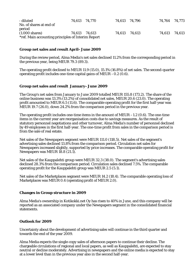| - diluted<br>No. of shares at end of               | 74,613 74,770 | 74,613 74,796 | 74,764 74,773 |  |
|----------------------------------------------------|---------------|---------------|---------------|--|
| period                                             |               |               |               |  |
| $(1.000 \text{ shares})$                           | 74,613 74,613 | 74,613 74,613 | 74,613 74,613 |  |
| *ref. Main accounting principles of Interim Report |               |               |               |  |

#### **Group net sales and result April–June 2009**

During the review period, Alma Media's net sales declined 11.2% from the corresponding period in the previous year, being MEUR 79.3 (89.3).

The operating profit declined to MEUR 11.9 (15.0), 15.1% (16.8%) of net sales. The second-quarter operating profit includes one-time capital gains of MEUR  $-0.2$  (0.6).

#### **Group net sales and result January–June 2009**

The Group's net sales from January to June 2009 totalled MEUR 155.8 (173.2). The share of the online business was 13.3% (13.2%) of consolidated net sales, MEUR 20.6 (23.0). The operating profit amounted to MEUR 6.5 (11.6). The comparable operating profit for the first half-year was MEUR 19.7 (26.0), down 24.2% from the comparison period in the previous year.

The operating profit includes one-time items in the amount of MEUR  $-1.2$  (0.6). The one-time items in the current year are reorganisation costs due to savings measures. As the result of statutory personnel negotiations and other turnover, Alma Media's number of personnel declined by 49 employees in the first half-year. The one-time profit from sales in the comparison period is from the sale of real estate.

Net sales of the Newspapers segment were MEUR 111.0 (118.5). Net sales of the segment's advertising sales declined 13.8% from the comparison period. Circulation net sales for Newspapers increased slightly, supported by price increases. The comparable operating profit for Newspapers was MEUR 18.8 (21.1).

Net sales of the Kauppalehti group were MEUR 32.3 (38.0). The segment's advertising sales declined 28.3% from the comparison period. Circulation sales declined 7.5%. The comparable operating profit for the Kauppalehti group was MEUR 2.5 (5.1).

Net sales of the Marketplaces segment were MEUR 14.2 (18.4). The comparable operating loss of Marketplaces was MEUR 0.4 (operating profit of MEUR 2.0).

#### **Changes in Group structure in 2009**

Alma Media's ownership in Kotikokki.net Oy has risen to 40% in June, and this company will be reported as an associated company under the Newspapers segment in the consolidated financial statements.

#### **Outlook for 2009**

Uncertainty about the development of advertising sales will continue in the third quarter and towards the end of the year 2009.

Alma Media expects the single-copy sales of afternoon papers to continue their decline. The chargeable circulations of regional and local papers, as well as Kauppalehti, are expected to stay neutral or decline moderately. Advertising in newspapers and the online media is expected to stay at a lower level than in the previous year also in the second half-year.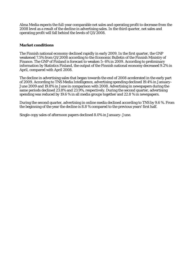Alma Media expects the full-year comparable net sales and operating profit to decrease from the 2008 level as a result of the decline in advertising sales. In the third quarter, net sales and operating profit will fall behind the levels of  $Q3/\overline{2}008$ .

#### **Market conditions**

The Finnish national economy declined rapidly in early 2009. In the first quarter, the GNP weakened 7.5% from Q1/2008 according to the Economic Bulletin of the Finnish Ministry of Finance. The GNP of Finland is forecast to weaken 5–6% in 2009. According to preliminary information by Statistics Finland, the output of the Finnish national economy decreased 9.2% in April, compared with April 2008.

The decline in advertising sales that began towards the end of 2008 accelerated in the early part of 2009. According to TNS Media Intelligence, advertising spending declined 19.4% in January– June 2009 and 19.8% in June in comparison with 2008. Advertising in newspapers during the same periods declined 23.8% and 23.9%, respectively. During the second quarter, advertising spending was reduced by 19.6 % in all media groups together and 22.8 % in newspapers.

During the second quarter, advertising in online media declined according to TNS by 9.6 %. From the beginning of the year the decline is 8.8 % compared to the previous years' first half.

Single-copy sales of afternoon papers declined 8.0% in January–June.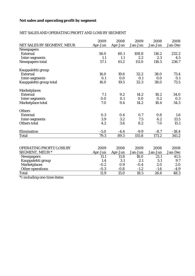### **Net sales and operating profit by segment**

#### NET SALES AND OPERATING PROFIT AND LOSS BY SEGMENT

|                                 | 2009    | 2008    | 2009    | 2008    | 2008    |
|---------------------------------|---------|---------|---------|---------|---------|
| NET SALES BY SEGMENT, MEUR      | Apr-Jun | Apr-Jun | Jan-Jun | Jan-Jun | Jan-Dec |
| <b>Newspapers</b>               |         |         |         |         |         |
| <b>External</b>                 | 56.0    | 60.1    | 108.8   | 116.2   | 232.2   |
| Inter-segments                  | 1.1     | 1.1     | 2.2     | 2.3     | 4.5     |
| Newspapers total                | 57.1    | 61.2    | 111.0   | 118.5   | 236.7   |
| Kauppalehti group               |         |         |         |         |         |
| <b>External</b>                 | 16.0    | 19.6    | 32.2    | 38.0    | 73.4    |
| Inter-segments                  | 0.1     | 0.0     | 0.1     | 0.0     | 0.1     |
| Kauppalehti group total         | 16.0    | 19.5    | 32.3    | 38.0    | 73.5    |
| <b>Marketplaces</b>             |         |         |         |         |         |
| <b>External</b>                 | 7.1     | 9.2     | 14.2    | 18.2    | 34.0    |
| Inter-segments                  | 0.0     | 0.1     | 0.0     | 0.2     | 0.3     |
| Marketplace total               | 7.0     | 9.4     | 14.2    | 18.4    | 34.3    |
| <b>Others</b>                   |         |         |         |         |         |
| <b>External</b>                 | 0.3     | 0.4     | 0.7     | 0.8     | 1.6     |
| Inter-segments                  | 3.9     | 3.2     | 7.5     | 6.2     | 13.5    |
| <b>Others total</b>             | 4.2     | 3.6     | 8.2     | 7.0     | 15.1    |
| Elimination                     | $-5.0$  | $-4.4$  | $-9.9$  | $-8.7$  | $-18.4$ |
| <b>Total</b>                    | 79.3    | 89.3    | 155.8   | 173.2   | 341.2   |
|                                 |         |         |         |         |         |
| <b>OPERATING PROFIT/LOSS BY</b> | 2009    | 2008    | 2009    | 2008    | 2008    |
| <b>SEGMENT, MEUR *</b>          | Apr-Jun | Apr-Jun | Jan-Jun | Jan-Jun | Jan-Dec |
| <b>Newspapers</b>               | 11.1    | 11.8    | 18.0    | 21.1    | 41.5    |
| Kauppalehti group               | 1.4     | 3.1     | 2.1     | 5.1     | 9.7     |
| <b>Marketplaces</b>             | $-0.2$  | 0.9     | $-0.4$  | 2.0     | 2.0     |
| Other operations                | $-0.3$  | $-0.8$  | $-1.2$  | $-1.6$  | $-4.9$  |
| <b>Total</b>                    | 11.9    | 15.0    | 18.5    | 26.6    | 48.3    |

\*) including one-time items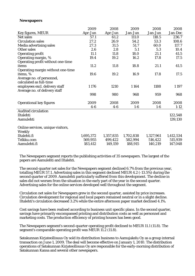#### **Newspapers**

|                                   | 2009      | 2008      | 2009      | 2008      | 2008      |
|-----------------------------------|-----------|-----------|-----------|-----------|-----------|
| Key figures, MEUR                 | Apr-Jun   | Apr-Jun   | Jan-Jun   | Jan-Jun   | Jan-Dec   |
| <b>Net sales</b>                  | 57.1      | 61.2      | 111.0     | 118.5     | 236.7     |
| <b>Circulation sales</b>          | 27.2      | 26.9      | 54.2      | 53.3      | 108.6     |
| Media advertising sales           | 27.3      | 31.5      | 51.7      | 60.0      | 117.7     |
| <b>Other sales</b>                | 2.6       | 2.8       | 5.1       | 5.3       | 10.4      |
| <b>Operating profit</b>           | 11.1      | 11.8      | 18.0      | 21.1      | 41.5      |
| Operating margin, %               | 19.4      | 19.2      | 16.2      | 17.8      | 17.5      |
| Operating profit without one-time |           |           |           |           |           |
| items                             | 11.2      | 11.8      | 18.8      | 21.1      | 41.5      |
| Operating margin without one-time |           |           |           |           |           |
| items, %                          | 19.6      | 19.2      | 16.9      | 17.8      | 17.5      |
| Average no. of personnel,         |           |           |           |           |           |
| calculated as full-time           |           |           |           |           |           |
| employees excl. delivery staff    | 1 1 7 6   | 1210      | 1164      | 1188      | 1 1 9 7   |
| Average no. of delivery staff     |           |           |           |           |           |
|                                   | 998       | 980       | 968       | 959       | 968       |
|                                   |           |           |           |           |           |
| <b>Operational key figures</b>    | 2009      | 2008      | 2009      | 2008      | 2008      |
|                                   | $4-6$     | $4-6$     | $1-6$     | $1-6$     | $1-12$    |
| <b>Audited circulation</b>        |           |           |           |           |           |
| Iltalehti                         |           |           |           |           | 122,548   |
| Aamulehti                         |           |           |           |           | 139,130   |
|                                   |           |           |           |           |           |
| Online services, unique visitors, |           |           |           |           |           |
| Weekly                            |           |           |           |           |           |
| Iltalehti.fi                      | 1,695,372 | 1,357,835 | 1,702,838 | 1,327,961 | 1,412,534 |
| Telkku.com                        | 569,955   | 499,422   | 582,994   | 516,422   | 515,939   |
| Aamulehti.fi                      | 183,412   | 149,159   | 188,915   | 140,219   | 147,048   |

The Newspapers segment reports the publishing activities of 35 newspapers. The largest of the papers are Aamulehti and Iltalehti.

The second-quarter net sales for the Newspapers segment declined 6.7% from the previous year, totalling MEUR 57.1. Advertising sales in this segment declined MEUR 4.2 (-13.5%) during the second quarter of 2009. Aamulehti particularly suffered from this development. The decline in sales did not worsen from the situation in the early part of the year in the second quarter. Advertising sales for the online services developed well throughout the segment.

Circulation net sales for Newspapers grew in the second quarter, assisted by price increases. Circulation development for regional and local papers remained neutral or in a slight decline. Iltalehti's circulation decreased 3.2% while the entire afternoon paper market declined 4.1%.

Cost savings have been realised according to business unit specific plans. In the second quarter, savings have primarily encompassed printing and distribution costs as well as personnel and marketing costs. The production efficiency of printing houses has been good.

The Newspapers segment's second-quarter operating profit declined to MEUR 11.1 (11.8). The segment's comparable operating profit was MEUR 11.2 (11.8).

Satakunnan Kirjateollisuus Oy sold its distribution business to Aamujakelu Oy as a group internal transaction on June 1, 2009. The deal will become effective on January 1, 2010. The distribution operations of Satakunnan Kirjateollisuus Oy are responsible for the early-morning distribution of Satakunnan Kansa and several other newspapers.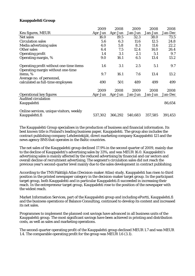#### **Kauppalehti Group**

|                                                                              | 2009    | 2008    | 2009    | 2008    | 2008    |
|------------------------------------------------------------------------------|---------|---------|---------|---------|---------|
| Keu figures, MEUR                                                            | Apr-Jun | Apr-Jun | Jan-Jun | Jan-Jun | Jan-Dec |
| Net sales                                                                    | 16.0    | 19.5    | 32.3    | 38.0    | 73.5    |
| <b>Circulation sales</b>                                                     | 5.6     | 6.3     | 11.6    | 12.5    | 24.8    |
| Media advertising sales                                                      | 4.0     | 5.8     | 8.3     | 11.6    | 22.2    |
| Other sales                                                                  | 6.4     | 7.5     | 12.4    | 14.0    | 26.4    |
| <b>Operating profit</b>                                                      | 1.4     | 3.1     | 2.1     | 5.1     | 9.7     |
| Operating margin, %                                                          | 9.0     | 16.1    | 6.5     | 13.4    | 13.2    |
| Operating profit without one-time items<br>Operating margin without one-time | 1.6     | 3.1     | 2.5     | 5.1     | 9.7     |
| items, %                                                                     | 9.7     | 16.1    | 7.6     | 13.4    | 13.2    |
| Average no. of personnel,<br>calculated as full-time employees               | 490     | 501     | 489     | 499     | 499     |
|                                                                              |         |         |         |         |         |
|                                                                              | 2009    | 2008    | 2009    | 2008    | 2008    |
| <b>Operational key figures</b>                                               | Apr-Jun | Apr-Jun | Jan-Jun | Jan-Jun | Jan-Dec |
| <b>Audited circulation</b><br>Kauppalehti                                    |         |         |         |         | 86,654  |
|                                                                              |         |         |         |         |         |
| Online services, unique visitors, weekly                                     |         |         |         |         |         |
| Kauppalehti.fi                                                               | 537,302 | 366,292 | 540,683 | 357,585 | 391,453 |

The Kauppalehti Group specialises in the production of business and financial information. Its best known title is Finland's leading business paper, Kauppalehti. The group also includes the contract publishing company Lehdentekijät, direct marketing company Kauppalehti 121 and the news agency BNS that operates in the Baltic countries.

The net sales of the Kauppalehti group declined 17.9% in the second quarter of 2009, mainly due to the decline of Kauppalehti's advertising sales by 33%, and was MEUR 16.0. Kauppalehti's advertising sales is mainly affected by the reduced advertising by financial and car sectors and overall decline of recruitment advertising. The segment's circulation sales did not reach the previous year's second-quarter level mainly due to the sales development in contract publishing.

According to the TNS Päättäjä Atlas (Decision-maker Atlas) study, Kauppalehti has risen to third position in the printed newspaper category in the decision-maker target group. In the participant target group, both Kauppalehti and in particular Kauppalehti.fi succeeded in increasing their reach. In the entrepreneur target group, Kauppalehti rose to the position of the newspaper with the widest reach.

Market Information Services, part of the Kauppalehti group and including ePortti, Kauppalehti.fi and the business operations of Balance Consulting, continued to develop its content and increased its net sales.

Programmes to implement the planned cost savings have advanced in all business units of the Kauppalehti group. The most significant savings have been achieved in printing and distribution costs, as well as sales and marketing operations.

The second-quarter operating profit of the Kauppalehti group declined MEUR 1.7 and was MEUR 1.4. The comparable operating profit for the group was MEUR 1.6 (3.1).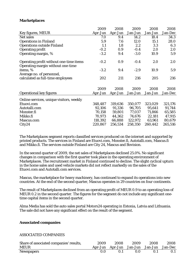#### **Marketplaces**

|                                                                              | 2009    | 2008    | 2009    | 2008    | 2008    |
|------------------------------------------------------------------------------|---------|---------|---------|---------|---------|
| Key figures, MEUR                                                            | Apr-Jun | Apr-Jun | Jan-Jun | Jan-Jun | Jan-Dec |
| Net sales                                                                    | 7.0     | 9.4     | 14.2    | 18.4    | 34.3    |
| <b>Operations in Finland</b>                                                 | 5.9     | 7.6     | 12.0    | 15.1    | 28.0    |
| <b>Operations outside Finland</b>                                            | 1.1     | 1.8     | 2.2     | 3.3     | 6.3     |
| <b>Operating profit</b>                                                      | $-0.2$  | 0.9     | $-0.4$  | 2.0     | 2.0     |
| Operating margin, %                                                          | $-3.2$  | 9.4     | $-3.0$  | 10.9    | 5.9     |
| Operating profit without one-time items<br>Operating margin without one-time | $-0.2$  | 0.9     | $-0.4$  | 2.0     | 2.0     |
| items, %                                                                     | $-3.2$  | 9.4     | $-2.9$  | 10.9    | 5.9     |
| Average no. of personnel,                                                    |         |         |         |         |         |
| calculated as full-time employees                                            | 202     | 211     | 216     | 205     | 216     |
|                                                                              |         |         |         |         |         |
|                                                                              | 2009    | 2008    | 2009    | 2008    | 2008    |
| <b>Operational key figures</b>                                               | Apr-Jun | Apr-Jun | Jan-Jun | Jan-Jun | Jan-Dec |
| Online services, unique visitors, weekly                                     |         |         |         |         |         |
| Etuovi.com                                                                   | 348,487 | 319,636 | 350,077 | 323,029 | 321,176 |
| Autotalli.com                                                                | 92,106  | 91,336  | 96,705  | 95,641  | 91,744  |
| Monster.fi                                                                   | 70,158  | 59,801  | 77,037  | 71,866  | 65,585  |
| Mikko.fi                                                                     | 70,973  | 44,362  | 74,676  | 22,181  | 47,915  |
| Mascus.com                                                                   | 118,392 | 66,888  | 122,972 | 63,961  | 80,679  |
| City24                                                                       | 220,867 | 256,534 | 258,350 | 260,442 | 265,516 |

The Marketplaces segment reports classified services produced on the internet and supported by printed products. The services in Finland are Etuovi.com, Monster.fi, Autotalli.com, Mascus.fi and Mikko.fi. The services outside Finland are City 24, Mascus and Bovision.

In the second quarter of 2009, the net sales of Marketplaces declined 25.0%. No significant changes in comparison with the first quarter took place in the operating environment of Marketplaces. The recruitment market in Finland continued to decline. The slight cyclical upturn in the home sales and used vehicle markets did not reflect markedly on the sales of the Etuovi.com and Autotalli.com services.

Mascus, the marketplace for heavy machinery, has continued to expand its operations into new countries. At the end of the second quarter, Mascus operates in 29 countries on four continents.

The result of Marketplaces declined from an operating profit of MEUR 0.9 to an operating loss of MEUR 0.2 in the second quarter. The figures for the segment do not include any significant onetime capital items in the second quarter.

Alma Media has sold the auto sales portal Motors24 operating in Estonia, Latvia and Lithuania. The sale did not have any significant effect on the result of the segment.

#### **Associated companies**

#### ASSOCIATED COMPANIES

| Share of associated companies' results, | 2009 | 2008                                    | - 2009   | - 2008 | 2008 |
|-----------------------------------------|------|-----------------------------------------|----------|--------|------|
| <b>MEUR</b>                             |      | Apr-Jun Apr-Jun Jan-Jun Jan-Jun Jan-Dec |          |        |      |
| <b>Newspapers</b>                       | 0.0  | -0.1                                    | $\Omega$ | 01     |      |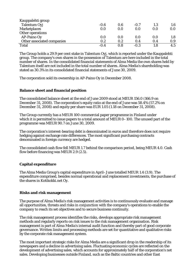| Kauppalehti group          |        |     |        |     |     |
|----------------------------|--------|-----|--------|-----|-----|
| Talentum Oyj               | $-0.6$ | 0.6 | $-0.7$ | 1.3 | 1.6 |
| <b>Marketplaces</b>        | 0.0    | 0.0 | 0.0    | 0.0 | 0.0 |
| Other operations           |        |     |        |     |     |
| AP-Paino Oy                | 0.0    | 0.0 | 0.0    | 0.0 | 1.8 |
| Other associated companies | 0.2    | 0.2 | 0.4    | 0.4 | 0.9 |
| <b>Total</b>               | $-0.4$ | 0.8 | $-0.3$ | 1.8 | 4.5 |

The Group holds a 29.9 per cent stake in Talentum Oyj, which is reported under the Kauppalehti group. The company's own shares in the possession of Talentum are here included in the total number of shares. In the consolidated financial statements of Alma Media the own shares held by Talentum itself are not included in the total number of shares. Alma Media's shareholding was stated as 30.3% in its consolidated financial statements of June 30, 2009.

The corporation sold its ownership in AP-Paino Oy in December 2008.

#### **Balance sheet and financial position**

The consolidated balance sheet at the end of June 2009 stood at MEUR 156.0 (166.9 on December 31, 2008). The corporation's equity ratio at the end of June was 58.4% (57.2% on December 31, 2008) and equity per share was EUR 1.05 (1.18 on December 31, 2008).

The Group currently has a MEUR 100 commercial paper programme in Finland under which it is permitted to issue papers to a total amount of MEUR 0–100. The unused part of the programme was MEUR 90.7 on June 30, 2009.

The corporation's interest-bearing debt is denominated in euros and therefore does not require hedging against exchange rate differences. The most significant purchasing contracts denominated in foreign currency are hedged.

The consolidated cash flow fell MEUR 1.7 behind the comparison period, being MEUR 4.0. Cash flow before financing was MEUR 2.9 (2.5).

#### **Capital expenditure**

The Alma Media Group's capital expenditure in April–June totalled MEUR 1.4 (3.9). The expenditure comprised, besides normal operational and replacement investments, the purchase of the shares in Kotikokki.net Oy.

#### **Risks and risk management**

The purpose of Alma Media's risk management activities is to continuously evaluate and manage all opportunities, threats and risks in conjunction with the company's operations to enable the company to reach its set objectives and to secure business continuity.

The risk management process identifies the risks, develops appropriate risk management methods and regularly reports on risk issues to the risk management organisation. Risk management is part of Alma Media's internal audit function and thereby part of good corporate governance. Written limits and processing methods are set for quantitative and qualitative risks by the corporate risk management system.

The most important strategic risks for Alma Media are a significant drop in the readership of its newspapers and a decline in advertising sales. Fluctuating economic cycles are reflected on the development of advertising sales, which accounts for approximately half of the corporation's net sales. Developing businesses outside Finland, such as the Baltic countries and other East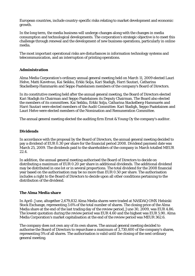European countries, include country-specific risks relating to market development and economic growth.

In the long term, the media business will undergo changes along with the changes in media consumption and technological developments. The corporation's strategic objective is to meet this challenge through renewal and the development of new business operations, particularly in online media.

The most important operational risks are disturbances in information technology systems and telecommunication, and an interruption of printing operations.

#### **Administration**

Alma Media Corporation's ordinary annual general meeting held on March 11, 2009 elected Lauri Helve, Matti Kavetvuo, Kai Seikku, Erkki Solja, Kari Stadigh, Harri Suutari, Catharina Stackelberg-Hammarén and Seppo Paatelainen members of the company's Board of Directors.

In its constitutive meeting held after the annual general meeting, the Board of Directors elected Kari Stadigh its Chairman and Seppo Paatelainen its Deputy Chairman. The Board also elected the members of its committees. Kai Seikku, Erkki Solja, Catharina Stackelberg-Hammarén and Harri Suutari were elected members of the Audit Committee. Kari Stadigh, Seppo Paatelainen and Lauri Helve were elected members of the Nomination and Remuneration Committee.

The annual general meeting elected the auditing firm Ernst & Young Oy the company's auditor.

#### **Dividends**

In accordance with the proposal by the Board of Directors, the annual general meeting decided to pay a dividend of EUR 0.30 per share for the financial period 2008. Dividend payment date was March 25, 2009. The dividends paid to the shareholders of the company in March totalled MEUR 22.4.

In addition, the annual general meeting authorised the Board of Directors to decide on distributing a maximum of EUR 0.20 per share in additional dividends. The additional dividend may be distributed in one lot or in several proportions. The total dividend for the 2008 financial year based on the authorisation may be no more than EUR 0.50 per share. The authorisation includes a right to the Board of Directors to decide upon all other conditions pertaining to the distribution of the dividend.

#### **The Alma Media share**

In April–June, altogether 2,679,832 Alma Media shares were traded at NASDAQ OMX Helsinki Stock Exchange, representing 3.6% of the total number of shares. The closing price of the Alma Media share at the end of the last trading day of the review period, June 30, 2009, was EUR 4.86. The lowest quotation during the review period was EUR 4.60 and the highest was EUR 5.90. Alma Media Corporation's market capitalisation at the end of the review period was MEUR 362.6.

The company does not own any of its own shares. The annual general meeting decided to authorise the Board of Directors to repurchase a maximum of 3,730,600 of the company's shares, representing 5% of all shares. The authorisation is valid until the closing of the next ordinary general meeting.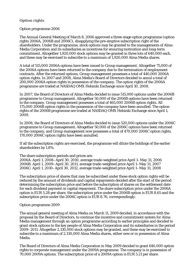#### **Option rights**

#### Option programme 2006

The Annual General Meeting of March 8, 2006 approved a three-stage option programme (option rights 2006A, 2006B and 2006C), disapplying the pre-emptive subscription right of the shareholders. Under the programme, stock options may be granted to the managements of Alma Media Corporation and its subsidiaries as incentives for ensuring motivation and long-term commitment. Altogether 1,920,000 stock options may be granted in three lots of 640,000 each, and these may be exercised to subscribe to a maximum of 1,920,000 Alma Media shares.

A total of 515,000 2006A options have been issued to Group management. Altogether 75,000 of the 2006A options have been returned to the company due to the termination of employment contracts. After the returned options, Group management possesses a total of 440,000 2006A option rights. In 2007 and 2008, Alma Media's Board of Directors decided to annul a total of 200,000 2006A option rights in possession of the company. The option rights of the 2006A programme are traded at NASDAQ OMX Helsinki Exchange since April 10, 2008.

In 2007, the Board of Directors of Alma Media decided to issue 515,000 options under the 2006B programme to Group management. Altogether 50,000 of the 2006B options have been returned to the company. Group management possesses a total of 465,000 2006B option rights. All 175,000 2006B option rights in the possession of the company have been annulled. The option rights of the 2006B programme are traded at NASDAQ OMX Helsinki Exchange since April 1, 2009.

In 2008, the Board of Directors of Alma Media decided to issue 520,000 options under the 2006C programme to Group management. Altogether 50,000 of the 2006C options have been returned to the company, and Group management now possesses a total of 470,000 2006C option rights. 170,000 2006C option rights have been annulled.

If all the subscription rights are exercised, the programme will dilute the holdings of the earlier shareholders by 1.8%.

#### The share subscription periods and prices are:

2006A: April 1, 2008–April 30, 2010, average trade-weighted price April 1–May 31, 2006 2006B: April 1, 2009–April 30, 2011, average trade-weighted price April 1–May 31, 2007 2006C: April 1, 2010–April 30, 2012, average trade-weighted price April 1–May 31, 2008

The subscription price of shares that may be subscribed under these stock option rights will be reduced by the amount of dividends and capital repayments decided after the start of the period determining the subscription price and before the subscription of shares on the settlement date for each dividend payment or capital repayment. The share subscription price under the 2006A option is EUR 5.28 per share, the subscription price under the 2006B option is EUR 8.65 and the subscription price under the 2006C option is EUR 8.76, correspondingly.

#### Option programme 2009

The annual general meeting of Alma Media on March 11, 2009 decided, in accordance with the proposal by the Board of Directors, to continue the incentive and commitment system for Alma Media management through an option programme according to earlier principles and decided to grant stock options to the key people of Alma Media Corporation and its subsidiaries in the period 2009–2011. Altogether 2,130,000 stock options may be granted, and these may be exercised to subscribe to a maximum of 2,130,000 Alma Media shares, either new or in possession of Alma Media.

The Board of Directors of Alma Media Corporation in May 2009 decided to grant 640,000 option rights to corporate management under the 2009A programme. The company is in possession of 70,000 2009A options. The subscription price of a 2009A option is EUR 5.21 per share.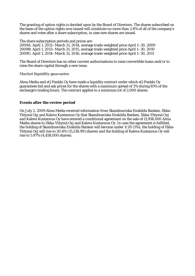The granting of option rights is decided upon by the Board of Directors. The shares subscribed on the basis of the option rights now issued will constitute no more than 2.8% of all of the company's shares and votes after a share subscription, in case new shares are issued.

The share subscription periods and prices are:

2009A: April 1, 2012–March 31, 2014, average trade-weighted price April 1–30, 2009 2009B: April 1, 2013–March 31, 2015, average trade-weighted price April 1–30, 2010 2009C: April 1, 2014–March 31, 2016, average trade-weighted price April 1–30, 2011

The Board of Directors has no other current authorisations to raise convertible loans and/or to raise the share capital through a new issue.

**Market liquidity guarantee** 

Alma Media and eQ Pankki Oy have made a liquidity contract under which eQ Pankki Oy guarantees bid and ask prices for the shares with a maximum spread of 3% during 85% of the exchange's trading hours. The contract applies to a minimum lot of 2,000 shares.

#### **Events after the review period**

On July 2, 2009 Alma Media received information from Skandinaviska Enskilda Banken, Ilkka-Yhtymä Oyj and Kaleva Kustannus Oy that Skandinaviska Enskilda Banken, Ilkka-Yhtymä Oyj and Kaleva Kustannus Oy have entered a conditional agreement on the sale of 11,958,000 Alma Media shares to Ilkka-Yhtymä Oyj and Kaleva Kustannus Oy. In case the agreement is fulfilled, the holding of Skandinaviska Enskilda Banken will become under 1/20 (5%), the holding of Ilkka-Yhtymä Oyj will rise to 20.4% (15,218,991 shares) and the holding of Kaleva Kustannus Oy will rise to 5.97% (4,458,000 shares).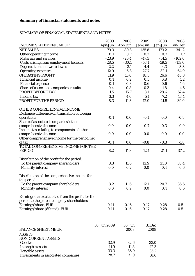#### **Summary of financial statements and notes**

#### SUMMARY OF FINANCIAL STATEMENTS AND NOTES

|                                                     | 2009        | 2008           | 2009           | 2008    | 2008     |
|-----------------------------------------------------|-------------|----------------|----------------|---------|----------|
| <b>INCOME STATEMENT. MEUR</b>                       | Apr-Jun     | Apr-Jun        | Jan-Jun        | Jan-Jun | Jan-Dec  |
| <b>NET SALES</b>                                    | 79.3        | 89.3           | 155.8          | 173.2   | 341.2    |
| Other operating income                              | 0.1         | 0.7            | 0.2            | 0.7     | 1.7      |
| <b>Materials and services</b>                       | $-23.9$     | $-26.4$        | $-47.3$        | $-51.5$ | $-102.0$ |
| Costs arising from employment benefits              | $-28.5$     | $-30.1$        | $-58.1$        | $-59.5$ | $-119.0$ |
| Depreciation and writedowns                         | $-2.2$      | $-2.1$         | $-4.4$         | $-4.3$  | $-8.8$   |
| <b>Operating expenses</b>                           | $-12.9$     | $-16.3$        | $-27.7$        | $-32.1$ | $-64.9$  |
| <b>OPERATING PROFIT</b>                             | 11.9        | 15.0           | 18.5           | 26.6    | 48.3     |
| <b>Financial income</b>                             | 0.1         | 0.2            | 0.5            | 0.8     | 1.2      |
| <b>Financial expenses</b>                           | $-0.1$      | $-0.3$         | $-0.6$         | $-0.6$  | $-1.6$   |
| Share of associated companies' results              | $-0.4$      | 0.8            | $-0.3$         | 1.8     | 4.5      |
| PROFIT BEFORE TAX                                   | 11.5        | 15.7           | 18.1           | 28.6    | 52.4     |
| Income tax                                          | $-3.3$      | $-4.0$         | $-5.1$         | $-7.2$  | $-13.4$  |
| PROFIT FOR THE PERIOD                               | 8.3         | 11.8           | 12.9           | 21.5    | 39.0     |
| OTHER COMPREHENSIVE INCOME                          |             |                |                |         |          |
| Exchange difference on translation of foreign       |             |                |                |         |          |
| operations                                          | $-0.1$      | 0.0            | $-0.1$         | 0.0     | $-0.8$   |
| Share of associated companies' other                |             |                |                |         |          |
| comprehensive income                                | 0.0         | 0.0            | $-0.7$         | $-0.3$  | $-0.9$   |
| Income tax relating to components of other          |             |                |                |         |          |
| comprehensive income                                | 0.0         | 0.0            | 0.0            | 0.0     | 0.0      |
| Other comprehensive income for the period.net       |             |                |                |         |          |
| of tax                                              | $-0.1$      | 0.0            | $-0.8$         | $-0.3$  | $-1.8$   |
| TOTAL COMPREHENSIVE INCOME FOR THE<br><b>PERIOD</b> | 8.2         |                |                |         |          |
|                                                     |             | 11.8           | 12.1           | 21.1    | 37.2     |
| Distribution of the profit for the period:          |             |                |                |         |          |
| To the parent company shareholders                  | 8.3         | 11.6           | 12.9           | 21.0    | 38.4     |
| <b>Minority interest</b>                            | 0.0         | 0.2            | 0.0            | 0.4     | 0.6      |
|                                                     |             |                |                |         |          |
| Distribution of the comprehensive income for        |             |                |                |         |          |
| the period:                                         |             |                |                |         |          |
| To the parent company shareholders                  | 8.2         | 11.6           | 12.1           | 20.7    | 36.6     |
| <b>Minority interest</b>                            | 0.0         | 0.2            | 0.0            | 0.4     | 0.6      |
|                                                     |             |                |                |         |          |
| Earning/share calculated from the profit for the    |             |                |                |         |          |
| period to the parent company shareholders           |             |                |                |         |          |
| Earnings/share, EUR                                 | 0.11        | 0.16           | 0.17           | 0.28    | 0.51     |
| Earnings/share (diluted), EUR                       | 0.11        | 0.16           | 0.17           | 0.28    | 0.51     |
|                                                     |             |                |                |         |          |
|                                                     | 30 Jun 2009 |                |                |         |          |
| <b>BALANCE SHEET, MEUR</b>                          |             | 30 Jun<br>2008 | 31 Dec<br>2008 |         |          |
| <b>ASSETS</b>                                       |             |                |                |         |          |
| <b>NON-CURRENT ASSETS</b>                           |             |                |                |         |          |
| Goodwill                                            | 32.9        | 32.6           | 33.0           |         |          |
| <b>Intangible assets</b>                            | 11.9        | 11.8           | 12.3           |         |          |
| <b>Tangible assets</b>                              | 33.3        | 36.9           | 35.2           |         |          |
| Investments in associated companies                 | 28.7        | 31.9           | 31.6           |         |          |
|                                                     |             |                |                |         |          |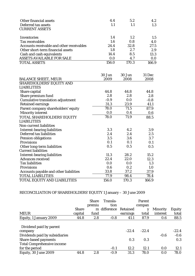| Other financial assets                    | 4.4   | 5.2     | 4.2   |
|-------------------------------------------|-------|---------|-------|
| Deferred tax assets                       | 1.1   |         | 1.3   |
| <b>CURRENT ASSETS</b>                     |       |         |       |
| Inventories                               | 1.4   | $1.2\,$ | 1.5   |
| Tax receivables                           | 1.6   | 0.8     | 4.0   |
| Accounts receivable and other receivables | 24.4  | 32.8    | 27.5  |
| Other short-term financial assets         | 1.8   | 2.7     | 2.9   |
| Cash and cash equivalents                 | 14.4  | 8.5     | 13.3  |
| <b>ASSETS AVAILABLE FOR SALE</b>          | 0.0   | 4.7     | 0.0   |
| <b>TOTAL ASSETS</b>                       | 156.0 | 170.3   | 166.9 |

|                                          | 30 Jun | 30 Jun | 31 Dec |
|------------------------------------------|--------|--------|--------|
| <b>BALANCE SHEET, MEUR</b>               | 2009   | 2008   | 2008   |
| <b>SHAREHOLDERS' EQUITY AND</b>          |        |        |        |
| <b>LIABILITIES</b>                       |        |        |        |
| Share capital                            | 44.8   | 44.8   | 44.8   |
| Share premium fund                       | 2.8    | 2.8    | 2.8    |
| <b>Cumulative translation adjustment</b> | $-0.9$ | 0.0    | $-0.8$ |
| <b>Retained earnings</b>                 | 31.3   | 23.9   | 41.1   |
| Parent company shareholders' equity      | 78.0   | 71.5   | 87.9   |
| <b>Minority interest</b>                 | 0.0    | 0.4    | 0.6    |
| TOTAL SHAREHOLDERS' EQUITY               | 78.0   | 71.9   | 88.5   |
| <b>LIABILITIES</b>                       |        |        |        |
| <b>Non-current liabilities</b>           |        |        |        |
| <b>Interest-bearing liabilities</b>      | 3.3    | 4.2    | 3.9    |
| Deferred tax liabilities                 | 2.4    | 2.4    | 2.5    |
| <b>Pension obligations</b>               | 3.5    | 3.6    | 3.7    |
| <b>Provisions</b>                        | 0.1    | 0.1    | 0.1    |
| Other long-term liabilities              | 0.5    | 0.5    | 0.5    |
| <b>Current liabilities</b>               |        |        |        |
| <b>Interest-bearing liabilities</b>      | 11.3   | 28.2   | 15.2   |
| <b>Advances received</b>                 | 22.4   | 22.0   | 12.3   |
| <b>Tax liabilities</b>                   | 0.0    | 0.0    | 1.3    |
| <b>Provisions</b>                        | 0.6    | 0.2    | 1.0    |
| Accounts payable and other liabilities   | 33.8   | 37.2   | 37.9   |
| <b>TOTAL LIABILITIES</b>                 | 77.9   | 98.4   | 78.4   |
| <b>TOTAL EQUITY AND LIABILITIES</b>      | 156.0  | 170.3  | 166.9  |

# RECONCILIATION OF SHAREHOLDERS' EQUITY 1 January – 30 June 2009

|                                                     |              | <b>Share</b> | Transla-     |          | Parent  |                 |                   |
|-----------------------------------------------------|--------------|--------------|--------------|----------|---------|-----------------|-------------------|
|                                                     |              | premiu       | tion         |          | compan  |                 |                   |
|                                                     | <b>Share</b> |              | m difference | Retained |         | <b>Minority</b> | <b>Equity</b>     |
| <b>MEUR</b>                                         | capital      | fund         |              | earnings | total   | interest        | total             |
| Equity, 1 January 2009                              | 44.8         | 2.8          | $-0.8$       | 41.1     | 87.9    | 0.6             | 88.5              |
| Dividend paid by parent                             |              |              |              | $-22.4$  | $-22.4$ |                 |                   |
| company<br>Dividends paid by subsidiaries           |              |              |              |          |         | $-0.6$          | $-22.4$<br>$-0.6$ |
| <b>Share-based payments</b>                         |              |              |              | 0.3      | 0.3     |                 | 0.3               |
| <b>Total Comprehensive income</b><br>for the period |              |              | $-0.1$       | 12.2     | 12.1    | 0.0             | 12.1              |
| Equity, 30 June 2009                                | 44.8         | 2.8          | $-0.9$       | 31.3     | 78.0    | 0.0             | 78.0              |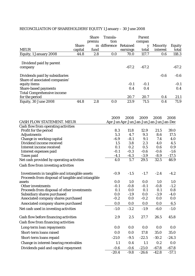|                                                                            |              | <b>Share</b> | Transla-              |                                         | Parent     |                 |               |
|----------------------------------------------------------------------------|--------------|--------------|-----------------------|-----------------------------------------|------------|-----------------|---------------|
|                                                                            |              | premiu       | tion                  |                                         | compan     |                 |               |
|                                                                            | <b>Share</b> |              | m difference Retained |                                         | y          | <b>Minority</b> | <b>Equity</b> |
| <b>MEUR</b>                                                                | capital      | fund         |                       | earnings                                | total      | interest        | total         |
| Equity, 1 January 2008                                                     | 44.8         | 2.8          | 0.0                   | 70.0                                    | 117.7      | 0.6             | 118.3         |
| Dividend paid by parent                                                    |              |              |                       |                                         |            |                 |               |
| company                                                                    |              |              |                       | $-67.2$                                 | $-67.2$    |                 | $-67.2$       |
| Dividends paid by subsidiaries                                             |              |              |                       |                                         |            | $-0.6$          | $-0.6$        |
| Share of associated companies'                                             |              |              |                       |                                         |            |                 |               |
| equity items                                                               |              |              |                       | $-0.1$                                  | $-0.1$     |                 | $-0.1$        |
| <b>Share-based payments</b>                                                |              |              |                       | 0.4                                     | 0.4        |                 | 0.4           |
| <b>Total Comprehensive income</b>                                          |              |              |                       |                                         |            |                 |               |
| for the period                                                             |              |              |                       | 20.7                                    | 20.7       | 0.4             | 21.1          |
| Equity, 30 June 2008                                                       | 44.8         | 2.8          | 0.0                   | 23.9                                    | 71.5       | 0.4             | 71.9          |
|                                                                            |              |              | 2009                  | 2008                                    | 2009       | 2008            | 2008          |
| <b>CASH FLOW STATEMENT. MEUR</b>                                           |              |              |                       | Apr-Jun Apr-Jun Jan-Jun Jan-Jun Jan-Dec |            |                 |               |
| Cash flow from operating activities                                        |              |              |                       |                                         |            |                 |               |
| Profit for the period                                                      |              |              | 8.3                   | 11.8                                    | 12.9       | 21.5            | 39.0          |
| <b>Adjustments</b>                                                         |              |              | 5.3                   | 4.7                                     | 9.3        | 8.6             | 17.5          |
| Change in working capital                                                  |              |              | $-6.9$                | $-8.1$                                  | 9.1        | 7.4             | 4.0           |
| Dividend income received                                                   |              |              | 1.5                   | 3.8                                     | 2.3        | 4.0             | 4.5           |
| Interest income received                                                   |              |              | 0.1                   | 0.2                                     | 0.5        | 0.6             | 0.9           |
| Interest expenses paid                                                     |              |              | $-0.1$                | $-0.3$                                  | $-0.6$     | $-0.6$          | $-1.6$        |
| Taxes paid                                                                 |              |              | $-4.1$                | $-6.3$                                  | $-3.9$     | $-8.9$          | $-17.5$       |
| Net cash provided by operating activities                                  |              |              | 4.0                   | 5.7                                     | 29.5       | 32.5            | 46.9          |
| Cash flow from investing activities                                        |              |              |                       |                                         |            |                 |               |
| Investments in tangible and intangible assets                              |              |              | $-0.9$                | $-1.5$                                  | $-1.7$     | $-2.4$          | $-4.2$        |
| Proceeds from disposal of tangible and intangible                          |              |              |                       |                                         |            |                 |               |
| assets                                                                     |              |              | 0.0                   | 1.0                                     | $0.0\,$    | 1.0             | 1.0           |
| Other investments                                                          |              |              | $-0.1$                | $-0.8$                                  | $-0.1$     | $-0.8$<br>0.1   | $-1.2$        |
| Proceeds from disposal of other investments<br>Subsidiary shares purchased |              |              | 0.1<br>0.0            | 0.0<br>$-1.9$                           | 0.1<br>0.0 | $-3.9$          | 0.8<br>$-4.0$ |
| Associated company shares purchased                                        |              |              | $-0.2$                | 0.0                                     | $-0.2$     | 0.0             | 0.0           |
| Associated company shares purchased                                        |              |              | 0.0                   | 0.0                                     | 0.0        | 0.0             | 6.5           |
| Net cash used in investing activities                                      |              |              | $-1.0$                | $-3.2$                                  | $-1.9$     | $-6.0$          | $-1.0$        |
| Cash flow before financing activities                                      |              |              | $2.9\,$               | 2.5                                     | 27.7       | 26.5            | 45.8          |
| Cash flow from financing activities                                        |              |              |                       |                                         |            |                 |               |
|                                                                            |              |              |                       |                                         |            |                 |               |
| Long-term loan repayments                                                  |              |              | 0.0                   | 0.0                                     | 0.0        | 0.0             | 0.0           |
| Short-term loans raised                                                    |              |              | 0.0                   | 0.0                                     | 17.8       | 35.0            | 35.0          |
| Short-term loans repaid                                                    |              |              | $-21.0$               | $-9.5$                                  | $-22.5$    | $-10.2$         | $-24.3$       |
| Change in interest-bearing receivables                                     |              |              | 1.1                   | 0.4                                     | 1.1        | 0.2             | 0.0           |
| Dividends paid and capital repayment                                       |              |              | $-0.6$                | $-0.6$                                  | $-23.0$    | $-67.8$         | $-67.8$       |
|                                                                            |              |              | $-20.4$               | $-9.8$                                  | $-26.6$    | $-42.8$         | $-57.1$       |

# RECONCILIATION OF SHAREHOLDERS' EQUITY 1 January – 30 June 2008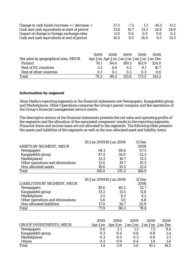| Change in cash funds (increase $+ /$ decrease -)                                           |      | $-17.5$ | $-7.3$       | 1.1                                     | $-16.3$      | $-11.2$ |
|--------------------------------------------------------------------------------------------|------|---------|--------------|-----------------------------------------|--------------|---------|
| Cash and cash equivalents at start of period<br>Impact of change in foreign exchange rates |      |         | 31.8<br>15.7 |                                         | 24.8<br>13.3 | 24.8    |
|                                                                                            |      | 0.0     | 0.0          | 0.0                                     | 0.0          | $-0.2$  |
| Cash and cash equivalents at end of period                                                 |      | 14.4    | 8.5          | 14.4                                    | 8.5          | 13.3    |
|                                                                                            |      |         |              |                                         |              |         |
|                                                                                            | 2009 | 2008    | 2009         | 2008                                    | 2008         |         |
| Net sales by geographical area, MEUR                                                       |      |         |              | Apr-Jun Apr-Jun Jan-Jun Jan-Jun Jan-Dec |              |         |
| Finland                                                                                    | 76.1 | 84.6    | 149.2        | 163.9                                   | 324.0        |         |
| <b>Rest of EU countries</b>                                                                | 3.1  | 4.6     | 6.2          | 9.1                                     | 16.7         |         |
| Rest of other countries                                                                    | 0.1  | 0.1     | 0.3          | 0.3                                     | 0.6          |         |
| <b>Total</b>                                                                               | 79.3 | 89.3    | 155.8        | 173.2                                   | 341.2        |         |

#### **Information by segment**

Alma Media's reporting segments in the financial statements are Newspapers, Kauppalehti group and Marketplaces. Other Operations comprise the Group's parent company and the operations of the Group's financial management service centre.

The descriptive section of the financial statements presents the net sales and operating profits of the segments and the allocation of the associated companies' results to the reporting segments. Financial items and income taxes are not allocated to the segments. The following table presents the assets and liabilities of the segments as well as the non-allocated asset and liability items.

|                                   | 30 Jun 200930 Jun 2008 | 31 Dec |        |
|-----------------------------------|------------------------|--------|--------|
| <b>ASSETS BY SEGMENT, MEUR</b>    |                        |        | 2008   |
| <b>Newspapers</b>                 | 64.1                   | 69.4   | 67.5   |
| Kauppalehti group                 | 47.4                   | 54.0   | 52.3   |
| <b>Marketplaces</b>               | 13.3                   | 16.7   | 15.2   |
| Other operations and eliminations | 12.6                   | 19.7   | 10.5   |
| Non-allocated assets              | 18.6                   | 10.5   | 21.4   |
| <b>Total</b>                      | 156.0                  | 170.3  | 166.9  |
|                                   | 30 Jun 200930 Jun 2008 |        | 31 Dec |
| LIABILITIES BY SEGMENT, MEUR      |                        |        | 2008   |
| <b>Newspapers</b>                 | 38.6                   | 40.2   | 32.7   |
| Kauppalehti group                 | 13.2                   | 13.5   | 11.8   |
| <b>Marketplaces</b>               | 3.5                    | 4.3    | 4.2    |
| Other operations and eliminations | 5.6                    | 5.6    | 6.8    |
| Non-allocated liabilities         | 17.0                   | 34.7   | 22.9   |
| <b>Total</b>                      |                        |        | 78.4   |

|                                | 2009    | 2008    | 2009    | 2008            | 2008 |
|--------------------------------|---------|---------|---------|-----------------|------|
| <b>GROUP INVESTMENTS, MEUR</b> | Apr-Jun | Apr-Jun | Jan-Jun | Jan-Jun Jan-Dec |      |
| Newspapers                     | 0.6     |         | 1.5     | 7.5             | 9.4  |
| Kauppalehti group              | 0.3     | 0.4     | 0.6     | 0.8             | 1.4  |
| <b>Marketplaces</b>            | 0.3     | 0.5     | 0.5     | 0.8             | 2.1  |
| <b>Others</b>                  | 0.3     | 0.9     | 0.4     | 1.0             | 1.6  |
| <b>Total</b>                   | 1.4     | 3.9     | 3.0     | 10.1            | 14.5 |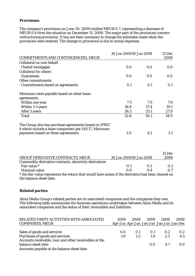#### **Provisions**

The company's provisions on June 30, 2009 totalled MEUR 0.7, representing a decrease of MEUR 0.4 from the situation on December 31, 2008. The major part of the provisions concern restructuring provisions. It has not been necessary to change the estimates made when the provisions were entered. The change in provisions is due to actual expenses.

|                                                                                                                | 30 Jun 200930 Jun 2008 | 31 Dec |      |
|----------------------------------------------------------------------------------------------------------------|------------------------|--------|------|
| <b>COMMITMENTS AND CONTINGENCIES, MEUR</b>                                                                     |                        |        | 2008 |
| Collateral on own behalf                                                                                       |                        |        |      |
| <b>Chattel mortgages</b>                                                                                       | 0.0                    | 0.0    | 0.0  |
| <b>Collateral for others</b>                                                                                   |                        |        |      |
| <b>Guarantees</b>                                                                                              | 0.0                    | 0.0    | 0.0  |
| Other commitments                                                                                              |                        |        |      |
| <b>Commitments based on agreements</b>                                                                         | 0.1                    | 0.1    | 0.1  |
| Minimum rents payable based on other lease                                                                     |                        |        |      |
| agreements:                                                                                                    |                        |        |      |
| Within one year                                                                                                | 7.5                    | 7.6    | 7.9  |
| Within 1-5 years                                                                                               | 18.8                   | 17.4   | 19.1 |
| After 5 years                                                                                                  | 26.5                   | 25.1   | 27.9 |
| <b>Total</b>                                                                                                   | 52.8                   | 50.1   | 54.9 |
| The Group also has purchase agreements based on IFRIC<br>4 which include a lease component per IAS 17, Minimum |                        |        |      |
| payments based on these agreements:                                                                            | 2.0                    | 4.2    | 3.1  |

|                                                                                                     |                        |            | 31 Dec |
|-----------------------------------------------------------------------------------------------------|------------------------|------------|--------|
| <b>GROUP DERIVATIVE CONTRACTS, MEUR</b>                                                             | 30 Jun 200930 Jun 2008 |            | 2008   |
| Commodity derivative contracts. electricity derivatives                                             |                        |            |        |
| Fair value *                                                                                        | $-0.1$                 | 0.2        | $-0.1$ |
| Nominal value                                                                                       | 0.9                    | $\Omega$ 4 | 0.7    |
| * the fair-value represents the return that would have arisen if the derivative had been cleared on |                        |            |        |
| the balance sheet date.                                                                             |                        |            |        |

#### **Related parties**

Alma Media Group's related parties are its associated companies and the companies they own. The following table summarises the business operations undertaken between Alma Media and its associated companies and the status of their receivables and liabilities:

| RELATED PARTY ACTIVITIES WITH ASSOCIATED<br><b>COMPANIES, MEUR</b>           | 2009<br>Apr-Jun Apr-Jun Jan-Jun Jan-Jun Jan-Dec | 2008    | 2009 | 2008 | 2008             |
|------------------------------------------------------------------------------|-------------------------------------------------|---------|------|------|------------------|
| Sales of goods and services                                                  | 0.0                                             | 0.1     | 0.1  | 0.2  | 0.2 <sub>2</sub> |
| Purchases of goods and services                                              | 1.0                                             | $1.2\,$ | 1.9  | 2.3  | 4.5              |
| Accounts receivable, loan and other receivables at the<br>balance sheet date |                                                 |         | 0.0  | 4.7  | 0.0              |
| Accounts payable at the balance sheet date                                   |                                                 |         |      |      |                  |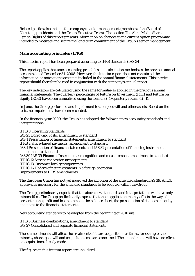Related parties also include the company's senior management (members of the Board of Directors, presidents and the Group Executive Team). The section The Alma Media Share – Option Rights of this report presents information on changes to the current option programme intended to motivate and secure the long-term commitment of the Group's senior management.

#### **Main accounting principles (IFRS)**

This interim report has been prepared according to IFRS standards (IAS 34).

The report applies the same accounting principles and calculation methods as the previous annual accounts dated December 31, 2008. However, the interim report does not contain all the information or notes to the accounts included in the annual financial statements. This interim report should therefore be read in conjunction with the company's annual report.

The key indicators are calculated using the same formulae as applied in the previous annual financial statements. The quarterly percentages of Return on Investment (ROI) and Return on Equity (ROE) have been annualised using the formula  $((1+quarterly return)4)-1$ .

In June, the Group performed and impairment test on goodwill and other assets. Based on the tests, no impairments have been recorded.

In the financial year 2009, the Group has adopted the following new accounting standards and interpretations:

IFRS 8 Operating Standards IAS 23 Borrowing costs, amendment to standard IAS 1 Presentation of financial statements, amendment to standard IFRS 2 Share-based payments, amendment to standard IAS 1 Presentation of financial statements and IAS 32 presentation of financing instruments, amendment to standard IAS 39 IAS 39 Financial Instruments: recognition and measurement, amendment to standard IFRIC 12 Service concession arrangements IFRIC 13 Customer loyalty programmes IFRIC 16 Hedges of net investments in a foreign operation Improvements to IFRS amendments

The European Union has not yet approved the adoption of the amended standard IAS 39. An EU approval is necessary for the amended standards to be adopted within the Group.

The Group preliminarily expects that the above new standards and interpretations will have only a minor effect. The Group preliminarily expects that their application mainly affects the way of presenting the profit and loss statement, the balance sheet, the presentation of changes in equity and notes to the financial statements.

New accounting standards to be adopted from the beginning of 2010 are:

IFRS 3 Business combinations, amendment to standard IAS 27 Consolidated and separate financial statements

These amendments will affect the treatment of future acquisitions as far as, for example, the minority share, goodwill and acquisition costs are concerned. The amendments will have no effect on acquisitions already made.

The figures in this interim report are unaudited.